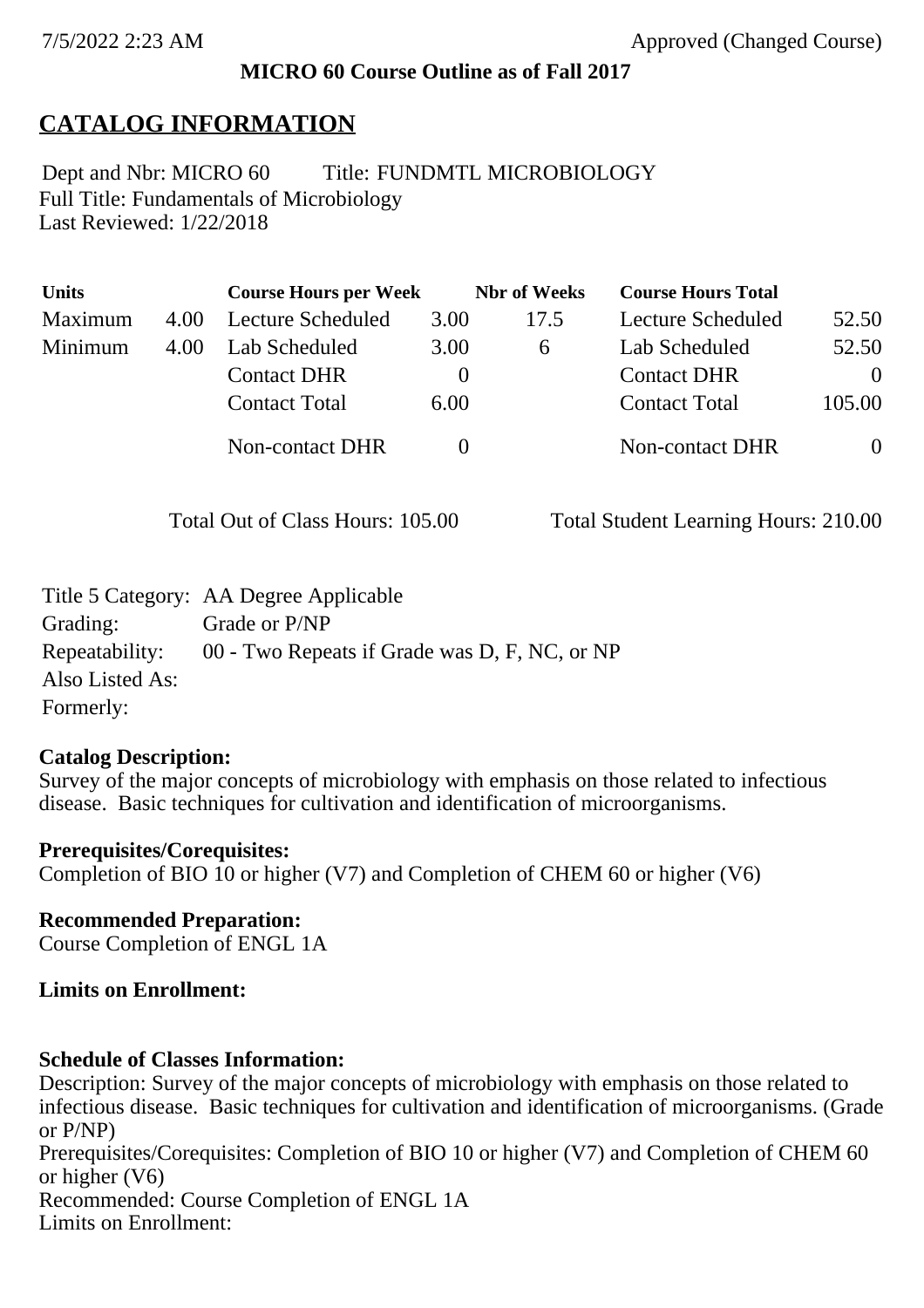### **MICRO 60 Course Outline as of Fall 2017**

# **CATALOG INFORMATION**

Full Title: Fundamentals of Microbiology Last Reviewed: 1/22/2018 Dept and Nbr: MICRO 60 Title: FUNDMTL MICROBIOLOGY

| <b>Units</b> |      | <b>Course Hours per Week</b> |          | <b>Nbr</b> of Weeks | <b>Course Hours Total</b> |                |
|--------------|------|------------------------------|----------|---------------------|---------------------------|----------------|
| Maximum      | 4.00 | Lecture Scheduled            | 3.00     | 17.5                | Lecture Scheduled         | 52.50          |
| Minimum      | 4.00 | Lab Scheduled                | 3.00     | $\sigma$            | Lab Scheduled             | 52.50          |
|              |      | <b>Contact DHR</b>           | $\theta$ |                     | <b>Contact DHR</b>        | $\Omega$       |
|              |      | <b>Contact Total</b>         | 6.00     |                     | <b>Contact Total</b>      | 105.00         |
|              |      | Non-contact DHR              |          |                     | Non-contact DHR           | $\overline{0}$ |

Total Out of Class Hours: 105.00 Total Student Learning Hours: 210.00

|                 | Title 5 Category: AA Degree Applicable        |
|-----------------|-----------------------------------------------|
| Grading:        | Grade or P/NP                                 |
| Repeatability:  | 00 - Two Repeats if Grade was D, F, NC, or NP |
| Also Listed As: |                                               |
| Formerly:       |                                               |

### **Catalog Description:**

Survey of the major concepts of microbiology with emphasis on those related to infectious disease. Basic techniques for cultivation and identification of microorganisms.

### **Prerequisites/Corequisites:** Completion of BIO 10 or higher (V7) and Completion of CHEM 60 or higher (V6)

# **Recommended Preparation:**

Course Completion of ENGL 1A

### **Limits on Enrollment:**

### **Schedule of Classes Information:**

Description: Survey of the major concepts of microbiology with emphasis on those related to infectious disease. Basic techniques for cultivation and identification of microorganisms. (Grade or P/NP) Prerequisites/Corequisites: Completion of BIO 10 or higher (V7) and Completion of CHEM 60 or higher (V6) Recommended: Course Completion of ENGL 1A Limits on Enrollment: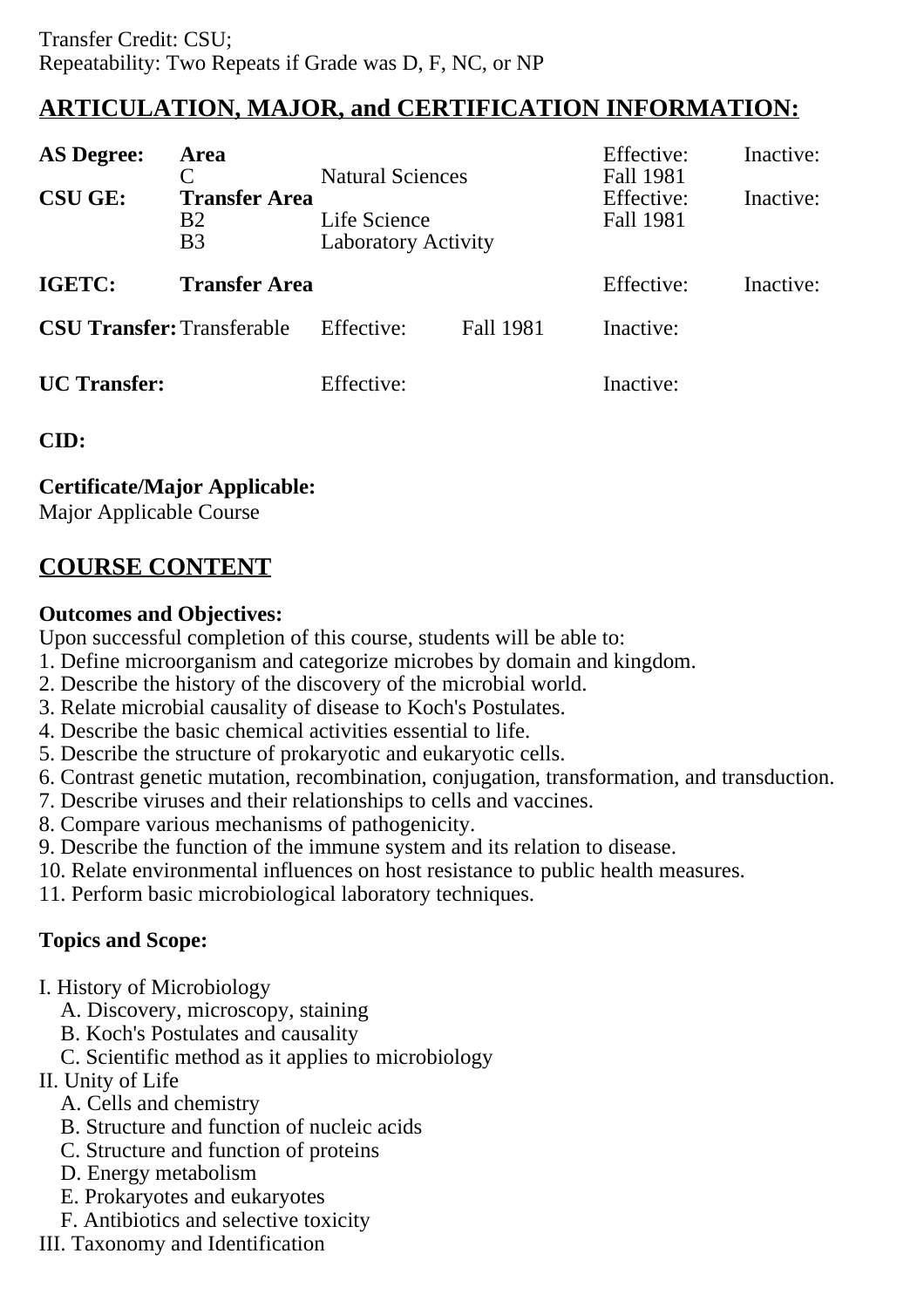# **ARTICULATION, MAJOR, and CERTIFICATION INFORMATION:**

| <b>AS Degree:</b>                 | Area                                                | <b>Natural Sciences</b>                    |                  | Effective:<br>Fall 1981 | Inactive: |
|-----------------------------------|-----------------------------------------------------|--------------------------------------------|------------------|-------------------------|-----------|
| <b>CSU GE:</b>                    | <b>Transfer Area</b><br><b>B2</b><br>B <sub>3</sub> | Life Science<br><b>Laboratory Activity</b> |                  | Effective:<br>Fall 1981 | Inactive: |
| <b>IGETC:</b>                     | <b>Transfer Area</b>                                |                                            |                  | Effective:              | Inactive: |
| <b>CSU Transfer: Transferable</b> |                                                     | Effective:                                 | <b>Fall 1981</b> | Inactive:               |           |
| <b>UC</b> Transfer:               |                                                     | Effective:                                 |                  | Inactive:               |           |

### **CID:**

**Certificate/Major Applicable:** 

[Major Applicable Course](SR_ClassCheck.aspx?CourseKey=MICRO60)

# **COURSE CONTENT**

### **Outcomes and Objectives:**

Upon successful completion of this course, students will be able to:

- 1. Define microorganism and categorize microbes by domain and kingdom.
- 2. Describe the history of the discovery of the microbial world.
- 3. Relate microbial causality of disease to Koch's Postulates.
- 4. Describe the basic chemical activities essential to life.
- 5. Describe the structure of prokaryotic and eukaryotic cells.
- 6. Contrast genetic mutation, recombination, conjugation, transformation, and transduction.
- 7. Describe viruses and their relationships to cells and vaccines.
- 8. Compare various mechanisms of pathogenicity.
- 9. Describe the function of the immune system and its relation to disease.
- 10. Relate environmental influences on host resistance to public health measures.
- 11. Perform basic microbiological laboratory techniques.

# **Topics and Scope:**

- I. History of Microbiology
	- A. Discovery, microscopy, staining
	- B. Koch's Postulates and causality
	- C. Scientific method as it applies to microbiology
- II. Unity of Life
	- A. Cells and chemistry
	- B. Structure and function of nucleic acids
	- C. Structure and function of proteins
	- D. Energy metabolism
	- E. Prokaryotes and eukaryotes
	- F. Antibiotics and selective toxicity
- III. Taxonomy and Identification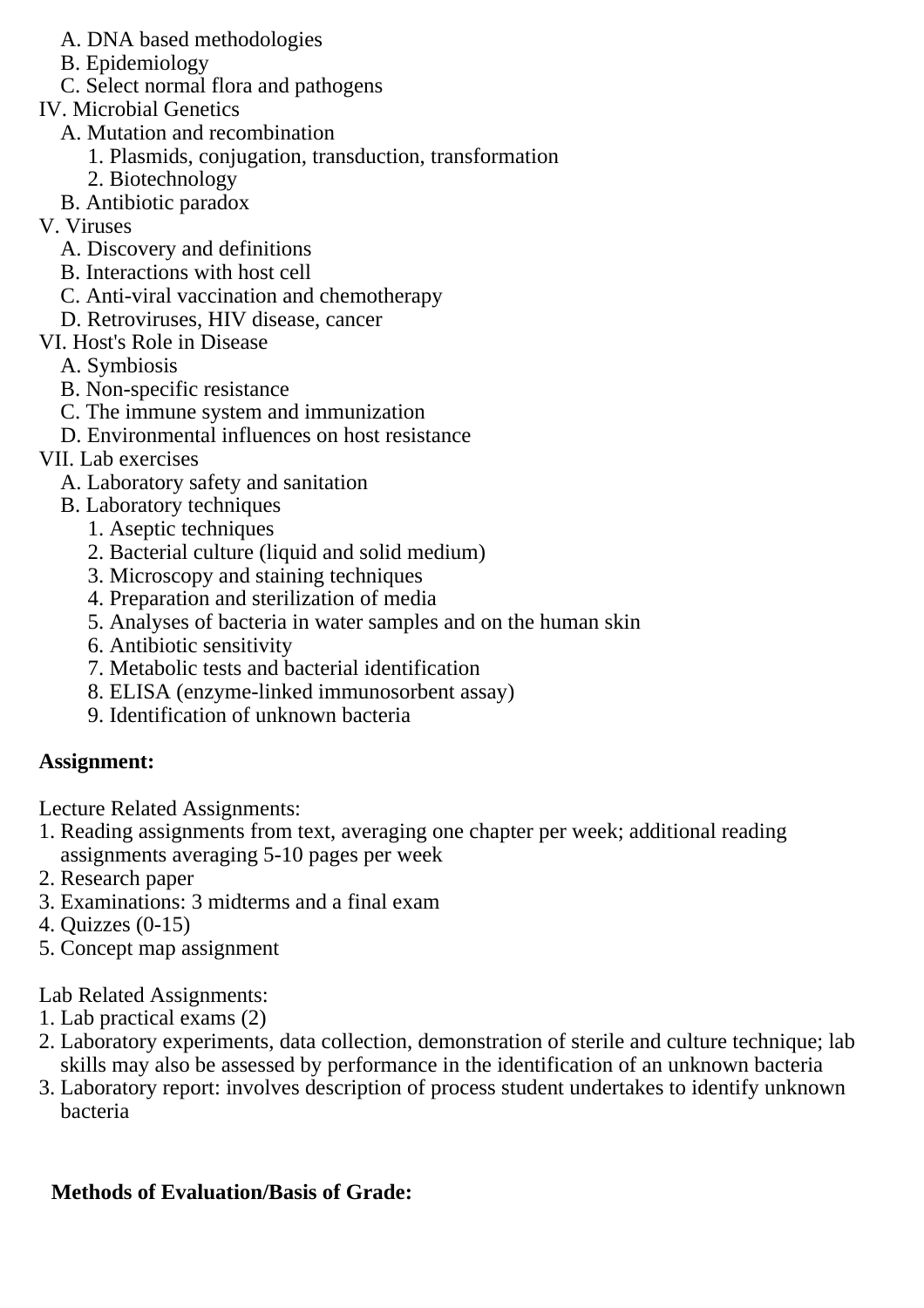- A. DNA based methodologies
- B. Epidemiology
- C. Select normal flora and pathogens
- IV. Microbial Genetics
	- A. Mutation and recombination
		- 1. Plasmids, conjugation, transduction, transformation
		- 2. Biotechnology
	- B. Antibiotic paradox
- V. Viruses
	- A. Discovery and definitions
	- B. Interactions with host cell
	- C. Anti-viral vaccination and chemotherapy
	- D. Retroviruses, HIV disease, cancer
- VI. Host's Role in Disease
	- A. Symbiosis
	- B. Non-specific resistance
	- C. The immune system and immunization
	- D. Environmental influences on host resistance
- VII. Lab exercises
	- A. Laboratory safety and sanitation
	- B. Laboratory techniques
		- 1. Aseptic techniques
		- 2. Bacterial culture (liquid and solid medium)
		- 3. Microscopy and staining techniques
		- 4. Preparation and sterilization of media
		- 5. Analyses of bacteria in water samples and on the human skin
		- 6. Antibiotic sensitivity
		- 7. Metabolic tests and bacterial identification
		- 8. ELISA (enzyme-linked immunosorbent assay)
		- 9. Identification of unknown bacteria

## **Assignment:**

Lecture Related Assignments:

- 1. Reading assignments from text, averaging one chapter per week; additional reading assignments averaging 5-10 pages per week
- 2. Research paper
- 3. Examinations: 3 midterms and a final exam
- 4. Quizzes (0-15)
- 5. Concept map assignment

Lab Related Assignments:

- 1. Lab practical exams (2)
- 2. Laboratory experiments, data collection, demonstration of sterile and culture technique; lab skills may also be assessed by performance in the identification of an unknown bacteria
- 3. Laboratory report: involves description of process student undertakes to identify unknown bacteria

# **Methods of Evaluation/Basis of Grade:**